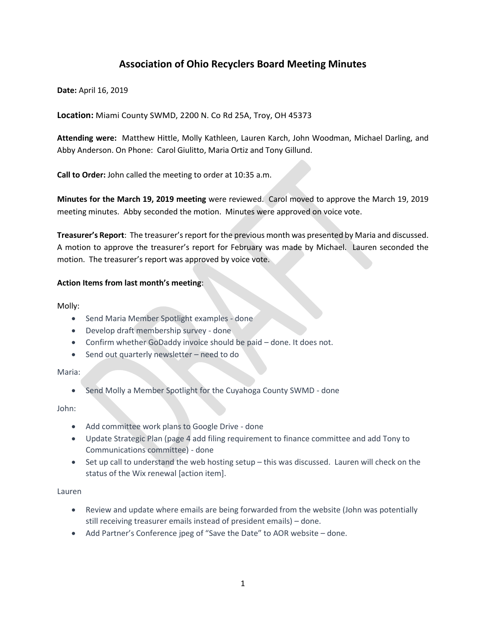# **Association of Ohio Recyclers Board Meeting Minutes**

**Date:** April 16, 2019

**Location:** Miami County SWMD, 2200 N. Co Rd 25A, Troy, OH 45373

**Attending were:** Matthew Hittle, Molly Kathleen, Lauren Karch, John Woodman, Michael Darling, and Abby Anderson. On Phone: Carol Giulitto, Maria Ortiz and Tony Gillund.

**Call to Order:** John called the meeting to order at 10:35 a.m.

**Minutes for the March 19, 2019 meeting** were reviewed. Carol moved to approve the March 19, 2019 meeting minutes. Abby seconded the motion. Minutes were approved on voice vote.

**Treasurer's Report**: The treasurer's report for the previous month was presented by Maria and discussed. A motion to approve the treasurer's report for February was made by Michael. Lauren seconded the motion. The treasurer's report was approved by voice vote.

### **Action Items from last month's meeting**:

Molly:

- Send Maria Member Spotlight examples done
- Develop draft membership survey done
- Confirm whether GoDaddy invoice should be paid done. It does not.
- Send out quarterly newsletter need to do

Maria:

• Send Molly a Member Spotlight for the Cuyahoga County SWMD - done

John:

- Add committee work plans to Google Drive done
- Update Strategic Plan (page 4 add filing requirement to finance committee and add Tony to Communications committee) - done
- Set up call to understand the web hosting setup this was discussed. Lauren will check on the status of the Wix renewal [action item].

Lauren

- Review and update where emails are being forwarded from the website (John was potentially still receiving treasurer emails instead of president emails) – done.
- Add Partner's Conference jpeg of "Save the Date" to AOR website done.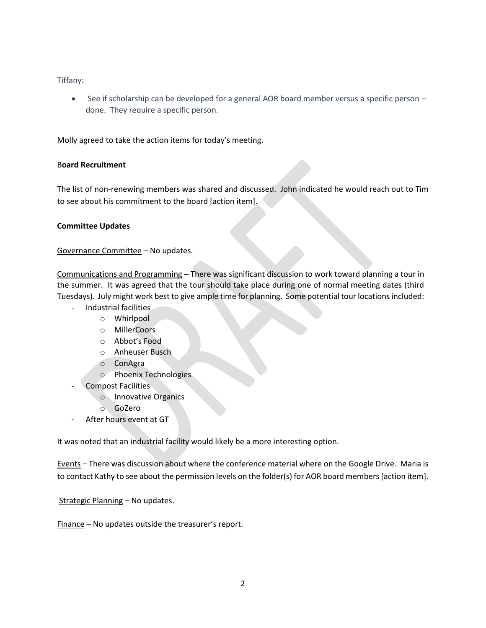Tiffany:

• See if scholarship can be developed for a general AOR board member versus a specific person – done. They require a specific person.

Molly agreed to take the action items for today's meeting.

### B**oard Recruitment**

The list of non-renewing members was shared and discussed. John indicated he would reach out to Tim to see about his commitment to the board [action item].

### **Committee Updates**

Governance Committee – No updates.

Communications and Programming – There was significant discussion to work toward planning a tour in the summer. It was agreed that the tour should take place during one of normal meeting dates (third Tuesdays). July might work best to give ample time for planning. Some potential tour locations included:

- Industrial facilities
	- o Whirlpool
	- o MillerCoors
	- o Abbot's Food
	- o Anheuser Busch
	- o ConAgra
	- o Phoenix Technologies
- Compost Facilities
	- o Innovative Organics
	- o GoZero
- After hours event at GT

It was noted that an industrial facility would likely be a more interesting option.

Events – There was discussion about where the conference material where on the Google Drive. Maria is to contact Kathy to see about the permission levels on the folder(s) for AOR board members [action item].

Strategic Planning – No updates.

Finance – No updates outside the treasurer's report.